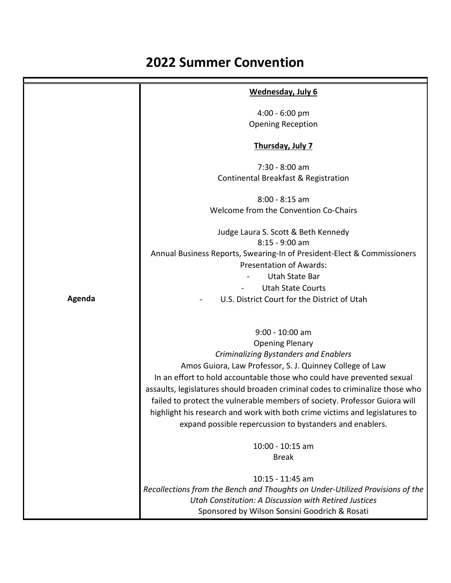## **2022 Summer Convention**

|        | Wednesday, July 6                                                                                                                       |
|--------|-----------------------------------------------------------------------------------------------------------------------------------------|
|        | $4:00 - 6:00$ pm                                                                                                                        |
|        | <b>Opening Reception</b>                                                                                                                |
|        | Thursday, July 7                                                                                                                        |
|        | $7:30 - 8:00$ am                                                                                                                        |
|        | Continental Breakfast & Registration                                                                                                    |
|        | $8:00 - 8:15$ am                                                                                                                        |
|        | Welcome from the Convention Co-Chairs                                                                                                   |
|        | Judge Laura S. Scott & Beth Kennedy                                                                                                     |
|        | $8:15 - 9:00$ am                                                                                                                        |
|        | Annual Business Reports, Swearing-In of President-Elect & Commissioners<br><b>Presentation of Awards:</b>                               |
|        | Utah State Bar                                                                                                                          |
|        | <b>Utah State Courts</b>                                                                                                                |
| Agenda | U.S. District Court for the District of Utah                                                                                            |
|        |                                                                                                                                         |
|        | 9:00 - 10:00 am                                                                                                                         |
|        | <b>Opening Plenary</b>                                                                                                                  |
|        | <b>Criminalizing Bystanders and Enablers</b>                                                                                            |
|        | Amos Guiora, Law Professor, S. J. Quinney College of Law                                                                                |
|        | In an effort to hold accountable those who could have prevented sexual                                                                  |
|        | assaults, legislatures should broaden criminal codes to criminalize those who                                                           |
|        | failed to protect the vulnerable members of society. Professor Guiora will                                                              |
|        | highlight his research and work with both crime victims and legislatures to<br>expand possible repercussion to bystanders and enablers. |
|        |                                                                                                                                         |
|        | 10:00 - 10:15 am                                                                                                                        |
|        | <b>Break</b>                                                                                                                            |
|        | 10:15 - 11:45 am                                                                                                                        |
|        | Recollections from the Bench and Thoughts on Under-Utilized Provisions of the                                                           |
|        | Utah Constitution: A Discussion with Retired Justices                                                                                   |
|        | Sponsored by Wilson Sonsini Goodrich & Rosati                                                                                           |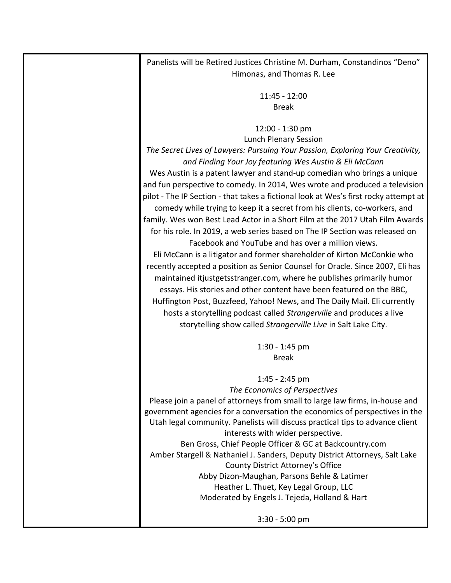Panelists will be Retired Justices Christine M. Durham, Constandinos "Deno" Himonas, and Thomas R. Lee

> 11:45 - 12:00 Break

## 12:00 - 1:30 pm

Lunch Plenary Session

*The Secret Lives of Lawyers: Pursuing Your Passion, Exploring Your Creativity, and Finding Your Joy featuring Wes Austin & Eli McCann*

Wes Austin is a patent lawyer and stand-up comedian who brings a unique and fun perspective to comedy. In 2014, Wes wrote and produced a television pilot - The IP Section - that takes a fictional look at Wes's first rocky attempt at comedy while trying to keep it a secret from his clients, co-workers, and family. Wes won Best Lead Actor in a Short Film at the 2017 Utah Film Awards for his role. In 2019, a web series based on The IP Section was released on

Facebook and YouTube and has over a million views. Eli McCann is a litigator and former shareholder of Kirton McConkie who recently accepted a position as Senior Counsel for Oracle. Since 2007, Eli has maintained [itjustgetsstranger.com,](https://url2.mailanyone.net/v1/?m=1nxE6B-0001Z6-5e&i=57e1b682&c=Rur63wRco3gwf-l9Mv9cguclBAFDxkF5ujHoQ51naYCJRPbOvioJTe5kgVpDJdyfLmRJRbZz99ayLrP7noaMJcZ5pzcFr2asdo1_Rz7gbw7VRYqwH1wjM91w8rJFPAGRgUwp9i_xFOKio71gdmNilj9yBBp5vMeK1pjrAi2pF62D-1dpwuXcw5TuO3kVXp3KCRNyXffh5zpOfoGQh1aYcw) where he publishes primarily humor essays. His stories and other content have been featured on the BBC, Huffington Post, Buzzfeed, Yahoo! News, and The Daily Mail. Eli currently hosts a storytelling podcast called *Strangerville* and produces a live storytelling show called *Strangerville Live* in Salt Lake City.

> 1:30 - 1:45 pm Break

1:45 - 2:45 pm *The Economics of Perspectives* Please join a panel of attorneys from small to large law firms, in-house and government agencies for a conversation the economics of perspectives in the Utah legal community. Panelists will discuss practical tips to advance client interests with wider perspective. Ben Gross, Chief People Officer & GC at Backcountry.com Amber Stargell & Nathaniel J. Sanders, Deputy District Attorneys, Salt Lake County District Attorney's Office Abby Dizon-Maughan, Parsons Behle & Latimer Heather L. Thuet, Key Legal Group, LLC Moderated by Engels J. Tejeda, Holland & Hart

3:30 - 5:00 pm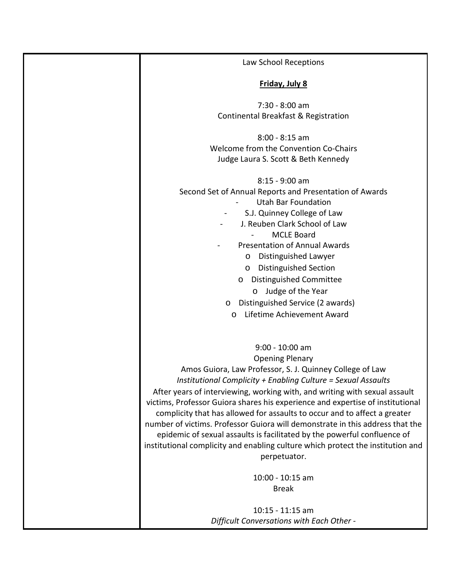| Law School Receptions                                                           |
|---------------------------------------------------------------------------------|
| Friday, July 8                                                                  |
| 7:30 - 8:00 am                                                                  |
| Continental Breakfast & Registration                                            |
| $8:00 - 8:15$ am                                                                |
| Welcome from the Convention Co-Chairs                                           |
| Judge Laura S. Scott & Beth Kennedy                                             |
|                                                                                 |
| $8:15 - 9:00$ am                                                                |
| Second Set of Annual Reports and Presentation of Awards                         |
| <b>Utah Bar Foundation</b>                                                      |
| S.J. Quinney College of Law                                                     |
| J. Reuben Clark School of Law                                                   |
| <b>MCLE Board</b>                                                               |
| <b>Presentation of Annual Awards</b>                                            |
| Distinguished Lawyer<br>$\circ$                                                 |
|                                                                                 |
| <b>Distinguished Section</b><br>$\circ$                                         |
| Distinguished Committee<br>$\circ$                                              |
| Judge of the Year<br>$\circ$                                                    |
| Distinguished Service (2 awards)<br>$\circ$                                     |
| Lifetime Achievement Award<br>$\circ$                                           |
|                                                                                 |
| 9:00 - 10:00 am                                                                 |
| <b>Opening Plenary</b>                                                          |
| Amos Guiora, Law Professor, S. J. Quinney College of Law                        |
| Institutional Complicity + Enabling Culture = Sexual Assaults                   |
| After years of interviewing, working with, and writing with sexual assault      |
|                                                                                 |
| victims, Professor Guiora shares his experience and expertise of institutional  |
| complicity that has allowed for assaults to occur and to affect a greater       |
| number of victims. Professor Guiora will demonstrate in this address that the   |
| epidemic of sexual assaults is facilitated by the powerful confluence of        |
| institutional complicity and enabling culture which protect the institution and |
| perpetuator.                                                                    |
| 10:00 - 10:15 am                                                                |
| <b>Break</b>                                                                    |
|                                                                                 |
| $10:15 - 11:15$ am                                                              |
| Difficult Conversations with Each Other -                                       |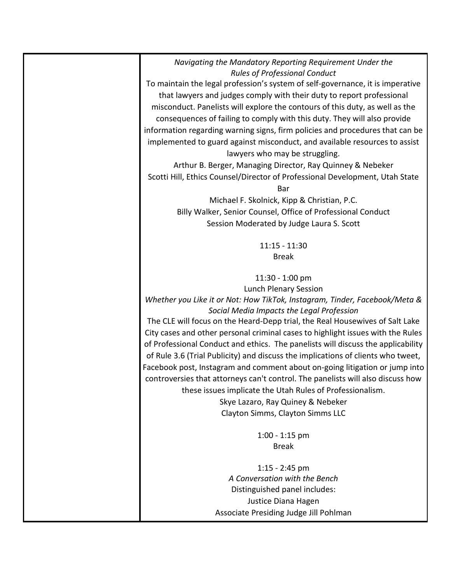*Navigating the Mandatory Reporting Requirement Under the Rules of Professional Conduct*

To maintain the legal profession's system of self-governance, it is imperative that lawyers and judges comply with their duty to report professional misconduct. Panelists will explore the contours of this duty, as well as the consequences of failing to comply with this duty. They will also provide information regarding warning signs, firm policies and procedures that can be implemented to guard against misconduct, and available resources to assist lawyers who may be struggling.

Arthur B. Berger, Managing Director, Ray Quinney & Nebeker Scotti Hill, Ethics Counsel/Director of Professional Development, Utah State Bar

> Michael F. Skolnick, Kipp & Christian, P.C. Billy Walker, Senior Counsel, Office of Professional Conduct Session Moderated by Judge Laura S. Scott

> > 11:15 - 11:30 Break

11:30 - 1:00 pm Lunch Plenary Session

*Whether you Like it or Not: How TikTok, Instagram, Tinder, Facebook/Meta & Social Media Impacts the Legal Profession*

The CLE will focus on the Heard-Depp trial, the Real Housewives of Salt Lake City cases and other personal criminal cases to highlight issues with the Rules of Professional Conduct and ethics. The panelists will discuss the applicability of Rule 3.6 (Trial Publicity) and discuss the implications of clients who tweet, Facebook post, Instagram and comment about on-going litigation or jump into controversies that attorneys can't control. The panelists will also discuss how these issues implicate the Utah Rules of Professionalism. Skye Lazaro, Ray Quiney & Nebeker

Clayton Simms, Clayton Simms LLC

1:00 - 1:15 pm Break

1:15 - 2:45 pm *A Conversation with the Bench* Distinguished panel includes: Justice Diana Hagen Associate Presiding Judge Jill Pohlman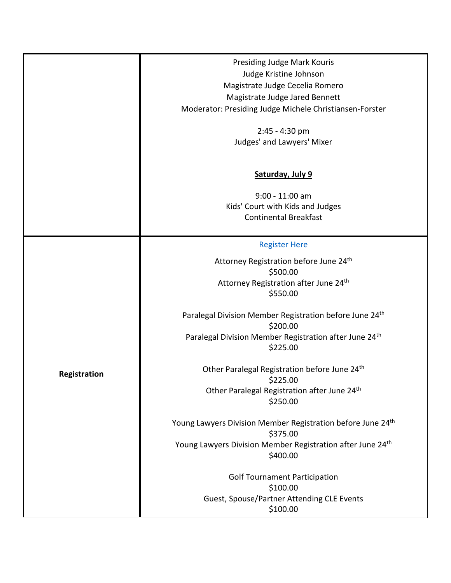|              | Presiding Judge Mark Kouris                                             |
|--------------|-------------------------------------------------------------------------|
|              | Judge Kristine Johnson                                                  |
|              | Magistrate Judge Cecelia Romero                                         |
|              | Magistrate Judge Jared Bennett                                          |
|              | Moderator: Presiding Judge Michele Christiansen-Forster                 |
|              |                                                                         |
|              | 2:45 - 4:30 pm                                                          |
|              | Judges' and Lawyers' Mixer                                              |
|              |                                                                         |
|              |                                                                         |
|              | Saturday, July 9                                                        |
|              |                                                                         |
|              | $9:00 - 11:00$ am                                                       |
|              | Kids' Court with Kids and Judges                                        |
|              | <b>Continental Breakfast</b>                                            |
|              |                                                                         |
|              | <b>Register Here</b>                                                    |
|              | Attorney Registration before June 24th                                  |
|              | \$500.00                                                                |
|              | Attorney Registration after June 24th                                   |
|              | \$550.00                                                                |
|              |                                                                         |
|              | Paralegal Division Member Registration before June 24th                 |
|              | \$200.00                                                                |
|              | Paralegal Division Member Registration after June 24 <sup>th</sup>      |
| Registration | \$225.00                                                                |
|              |                                                                         |
|              | Other Paralegal Registration before June 24th                           |
|              | \$225.00                                                                |
|              | Other Paralegal Registration after June 24th                            |
|              | \$250.00                                                                |
|              | Young Lawyers Division Member Registration before June 24 <sup>th</sup> |
|              | \$375.00                                                                |
|              | Young Lawyers Division Member Registration after June 24th              |
|              | \$400.00                                                                |
|              |                                                                         |
|              | <b>Golf Tournament Participation</b>                                    |
|              | \$100.00                                                                |
|              | Guest, Spouse/Partner Attending CLE Events                              |
|              | \$100.00                                                                |